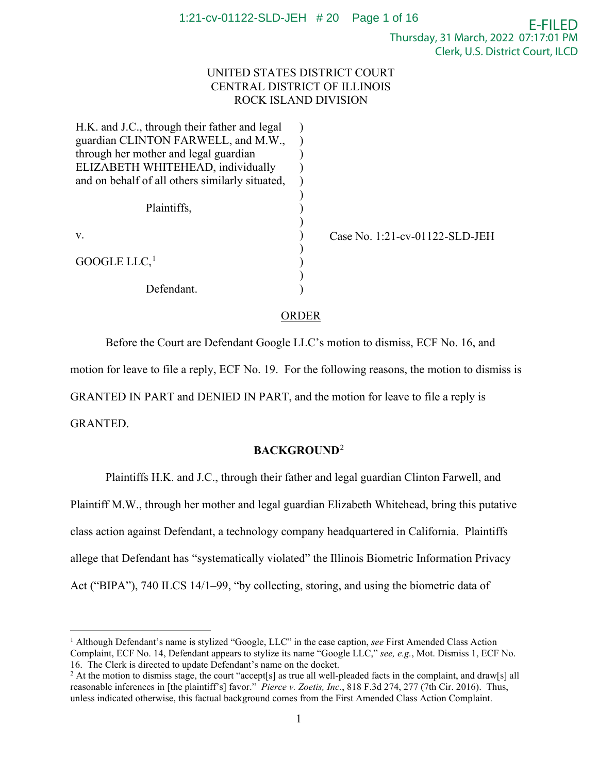# UNITED STATES DISTRICT COURT CENTRAL DISTRICT OF ILLINOIS ROCK ISLAND DIVISION

| H.K. and J.C., through their father and legal   |  |
|-------------------------------------------------|--|
| guardian CLINTON FARWELL, and M.W.,             |  |
| through her mother and legal guardian           |  |
| ELIZABETH WHITEHEAD, individually               |  |
| and on behalf of all others similarly situated, |  |
|                                                 |  |
| Plaintiffs,                                     |  |
|                                                 |  |
| v.                                              |  |
|                                                 |  |
| GOOGLE LLC, $^{\rm 1}$                          |  |
|                                                 |  |
| Defendant.                                      |  |

Case No. 1:21-cv-01122-SLD-JEH

# ORDER

 Before the Court are Defendant Google LLC's motion to dismiss, ECF No. 16, and motion for leave to file a reply, ECF No. 19. For the following reasons, the motion to dismiss is GRANTED IN PART and DENIED IN PART, and the motion for leave to file a reply is GRANTED.

# **BACKGROUND**<sup>2</sup>

Plaintiffs H.K. and J.C., through their father and legal guardian Clinton Farwell, and Plaintiff M.W., through her mother and legal guardian Elizabeth Whitehead, bring this putative class action against Defendant, a technology company headquartered in California. Plaintiffs allege that Defendant has "systematically violated" the Illinois Biometric Information Privacy Act ("BIPA"), 740 ILCS 14/1–99, "by collecting, storing, and using the biometric data of

<sup>1</sup> Although Defendant's name is stylized "Google, LLC" in the case caption, *see* First Amended Class Action Complaint, ECF No. 14, Defendant appears to stylize its name "Google LLC," *see, e.g.*, Mot. Dismiss 1, ECF No. 16. The Clerk is directed to update Defendant's name on the docket.<br><sup>2</sup> At the motion to dismiss stage, the court "accept[s] as true all well-pleaded facts in the complaint, and draw[s] all

reasonable inferences in [the plaintiff's] favor." *Pierce v. Zoetis, Inc.*, 818 F.3d 274, 277 (7th Cir. 2016). Thus, unless indicated otherwise, this factual background comes from the First Amended Class Action Complaint.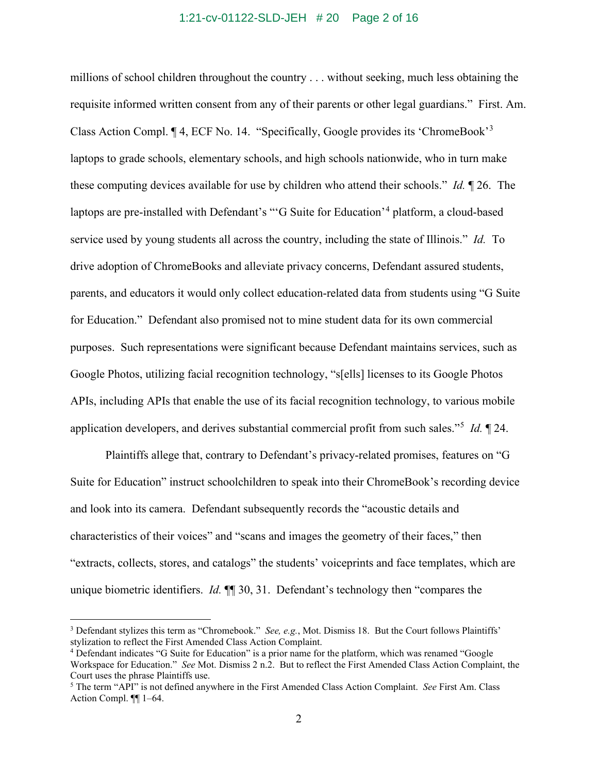### 1:21-cv-01122-SLD-JEH # 20 Page 2 of 16

millions of school children throughout the country . . . without seeking, much less obtaining the requisite informed written consent from any of their parents or other legal guardians." First. Am. Class Action Compl. 14, ECF No. 14. "Specifically, Google provides its 'ChromeBook'<sup>3</sup> laptops to grade schools, elementary schools, and high schools nationwide, who in turn make these computing devices available for use by children who attend their schools." *Id.* ¶ 26. The laptops are pre-installed with Defendant's "'G Suite for Education'<sup>4</sup> platform, a cloud-based service used by young students all across the country, including the state of Illinois." *Id.* To drive adoption of ChromeBooks and alleviate privacy concerns, Defendant assured students, parents, and educators it would only collect education-related data from students using "G Suite for Education." Defendant also promised not to mine student data for its own commercial purposes. Such representations were significant because Defendant maintains services, such as Google Photos, utilizing facial recognition technology, "s[ells] licenses to its Google Photos APIs, including APIs that enable the use of its facial recognition technology, to various mobile application developers, and derives substantial commercial profit from such sales."<sup>5</sup> *Id.* ¶ 24.

Plaintiffs allege that, contrary to Defendant's privacy-related promises, features on "G Suite for Education" instruct schoolchildren to speak into their ChromeBook's recording device and look into its camera. Defendant subsequently records the "acoustic details and characteristics of their voices" and "scans and images the geometry of their faces," then "extracts, collects, stores, and catalogs" the students' voiceprints and face templates, which are unique biometric identifiers. *Id.*  $\P$  30, 31. Defendant's technology then "compares the

<sup>&</sup>lt;sup>3</sup> Defendant stylizes this term as "Chromebook." *See, e.g.*, Mot. Dismiss 18. But the Court follows Plaintiffs' stylization to reflect the First Amended Class Action Complaint.

<sup>&</sup>lt;sup>4</sup> Defendant indicates "G Suite for Education" is a prior name for the platform, which was renamed "Google Workspace for Education." *See* Mot. Dismiss 2 n.2. But to reflect the First Amended Class Action Complaint, the Court uses the phrase Plaintiffs use.

<sup>5</sup> The term "API" is not defined anywhere in the First Amended Class Action Complaint. *See* First Am. Class Action Compl. ¶¶ 1–64.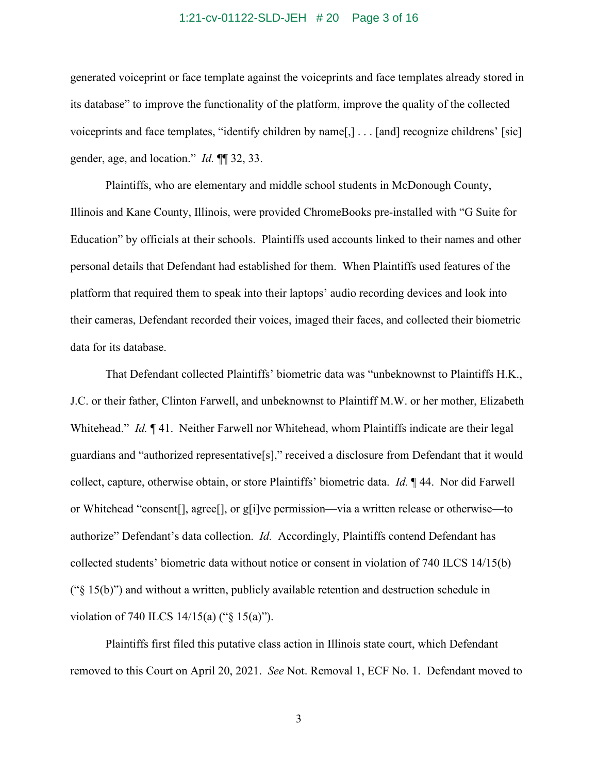### 1:21-cv-01122-SLD-JEH # 20 Page 3 of 16

generated voiceprint or face template against the voiceprints and face templates already stored in its database" to improve the functionality of the platform, improve the quality of the collected voiceprints and face templates, "identify children by name[,] . . . [and] recognize childrens' [sic] gender, age, and location." *Id.* ¶¶ 32, 33.

Plaintiffs, who are elementary and middle school students in McDonough County, Illinois and Kane County, Illinois, were provided ChromeBooks pre-installed with "G Suite for Education" by officials at their schools. Plaintiffs used accounts linked to their names and other personal details that Defendant had established for them. When Plaintiffs used features of the platform that required them to speak into their laptops' audio recording devices and look into their cameras, Defendant recorded their voices, imaged their faces, and collected their biometric data for its database.

That Defendant collected Plaintiffs' biometric data was "unbeknownst to Plaintiffs H.K., J.C. or their father, Clinton Farwell, and unbeknownst to Plaintiff M.W. or her mother, Elizabeth Whitehead." *Id.* 141. Neither Farwell nor Whitehead, whom Plaintiffs indicate are their legal guardians and "authorized representative[s]," received a disclosure from Defendant that it would collect, capture, otherwise obtain, or store Plaintiffs' biometric data. *Id.* ¶ 44. Nor did Farwell or Whitehead "consent[], agree[], or g[i]ve permission—via a written release or otherwise—to authorize" Defendant's data collection. *Id.* Accordingly, Plaintiffs contend Defendant has collected students' biometric data without notice or consent in violation of 740 ILCS 14/15(b) (" $\S$  15(b)") and without a written, publicly available retention and destruction schedule in violation of 740 ILCS 14/15(a) ("§ 15(a)").

Plaintiffs first filed this putative class action in Illinois state court, which Defendant removed to this Court on April 20, 2021. *See* Not. Removal 1, ECF No. 1. Defendant moved to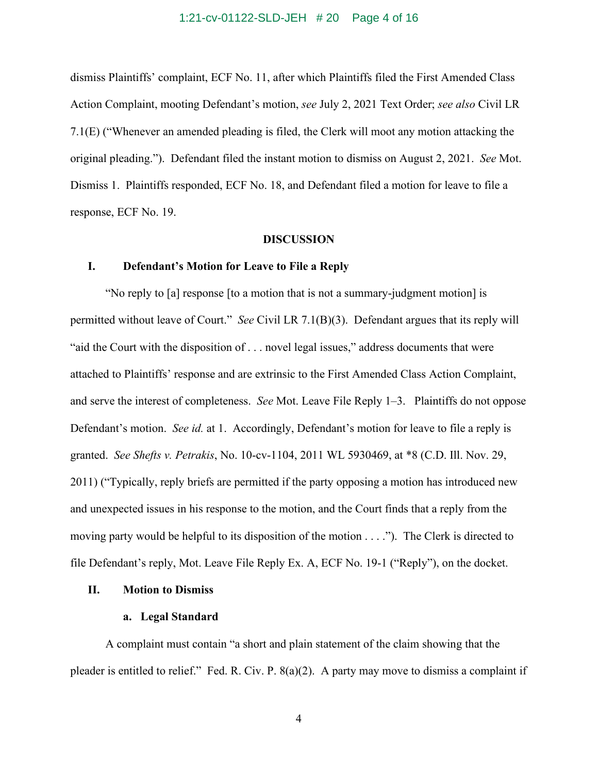# 1:21-cv-01122-SLD-JEH # 20 Page 4 of 16

dismiss Plaintiffs' complaint, ECF No. 11, after which Plaintiffs filed the First Amended Class Action Complaint, mooting Defendant's motion, *see* July 2, 2021 Text Order; *see also* Civil LR 7.1(E) ("Whenever an amended pleading is filed, the Clerk will moot any motion attacking the original pleading."). Defendant filed the instant motion to dismiss on August 2, 2021. *See* Mot. Dismiss 1. Plaintiffs responded, ECF No. 18, and Defendant filed a motion for leave to file a response, ECF No. 19.

#### **DISCUSSION**

### **I. Defendant's Motion for Leave to File a Reply**

"No reply to [a] response [to a motion that is not a summary-judgment motion] is permitted without leave of Court." *See* Civil LR 7.1(B)(3). Defendant argues that its reply will "aid the Court with the disposition of . . . novel legal issues," address documents that were attached to Plaintiffs' response and are extrinsic to the First Amended Class Action Complaint, and serve the interest of completeness. *See* Mot. Leave File Reply 1–3. Plaintiffs do not oppose Defendant's motion. *See id.* at 1. Accordingly, Defendant's motion for leave to file a reply is granted. *See Shefts v. Petrakis*, No. 10-cv-1104, 2011 WL 5930469, at \*8 (C.D. Ill. Nov. 29, 2011) ("Typically, reply briefs are permitted if the party opposing a motion has introduced new and unexpected issues in his response to the motion, and the Court finds that a reply from the moving party would be helpful to its disposition of the motion . . . ."). The Clerk is directed to file Defendant's reply, Mot. Leave File Reply Ex. A, ECF No. 19-1 ("Reply"), on the docket.

### **II. Motion to Dismiss**

#### **a. Legal Standard**

A complaint must contain "a short and plain statement of the claim showing that the pleader is entitled to relief." Fed. R. Civ. P. 8(a)(2). A party may move to dismiss a complaint if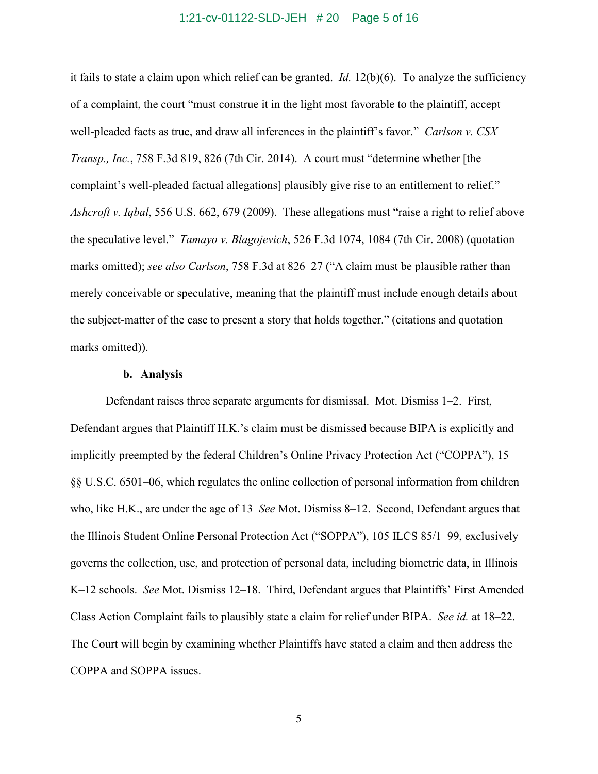### 1:21-cv-01122-SLD-JEH # 20 Page 5 of 16

it fails to state a claim upon which relief can be granted. *Id.* 12(b)(6). To analyze the sufficiency of a complaint, the court "must construe it in the light most favorable to the plaintiff, accept well-pleaded facts as true, and draw all inferences in the plaintiff's favor." *Carlson v. CSX Transp., Inc.*, 758 F.3d 819, 826 (7th Cir. 2014). A court must "determine whether [the complaint's well-pleaded factual allegations] plausibly give rise to an entitlement to relief." *Ashcroft v. Iqbal*, 556 U.S. 662, 679 (2009). These allegations must "raise a right to relief above the speculative level." *Tamayo v. Blagojevich*, 526 F.3d 1074, 1084 (7th Cir. 2008) (quotation marks omitted); *see also Carlson*, 758 F.3d at 826–27 ("A claim must be plausible rather than merely conceivable or speculative, meaning that the plaintiff must include enough details about the subject-matter of the case to present a story that holds together." (citations and quotation marks omitted)).

# **b. Analysis**

Defendant raises three separate arguments for dismissal. Mot. Dismiss 1–2. First, Defendant argues that Plaintiff H.K.'s claim must be dismissed because BIPA is explicitly and implicitly preempted by the federal Children's Online Privacy Protection Act ("COPPA"), 15 §§ U.S.C. 6501–06, which regulates the online collection of personal information from children who, like H.K., are under the age of 13 *See* Mot. Dismiss 8–12. Second, Defendant argues that the Illinois Student Online Personal Protection Act ("SOPPA"), 105 ILCS 85/1–99, exclusively governs the collection, use, and protection of personal data, including biometric data, in Illinois K–12 schools. *See* Mot. Dismiss 12–18. Third, Defendant argues that Plaintiffs' First Amended Class Action Complaint fails to plausibly state a claim for relief under BIPA. *See id.* at 18–22. The Court will begin by examining whether Plaintiffs have stated a claim and then address the COPPA and SOPPA issues.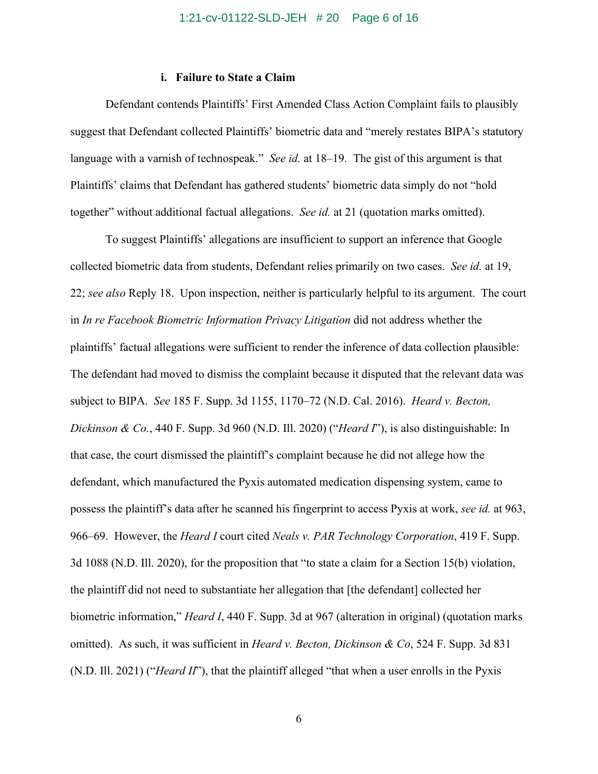### **i. Failure to State a Claim**

Defendant contends Plaintiffs' First Amended Class Action Complaint fails to plausibly suggest that Defendant collected Plaintiffs' biometric data and "merely restates BIPA's statutory language with a varnish of technospeak." *See id.* at 18–19. The gist of this argument is that Plaintiffs' claims that Defendant has gathered students' biometric data simply do not "hold together" without additional factual allegations. *See id.* at 21 (quotation marks omitted).

To suggest Plaintiffs' allegations are insufficient to support an inference that Google collected biometric data from students, Defendant relies primarily on two cases. *See id.* at 19, 22; *see also* Reply 18. Upon inspection, neither is particularly helpful to its argument. The court in *In re Facebook Biometric Information Privacy Litigation* did not address whether the plaintiffs' factual allegations were sufficient to render the inference of data collection plausible: The defendant had moved to dismiss the complaint because it disputed that the relevant data was subject to BIPA. *See* 185 F. Supp. 3d 1155, 1170–72 (N.D. Cal. 2016). *Heard v. Becton, Dickinson & Co.*, 440 F. Supp. 3d 960 (N.D. Ill. 2020) ("*Heard I*"), is also distinguishable: In that case, the court dismissed the plaintiff's complaint because he did not allege how the defendant, which manufactured the Pyxis automated medication dispensing system, came to possess the plaintiff's data after he scanned his fingerprint to access Pyxis at work, *see id.* at 963, 966–69. However, the *Heard I* court cited *Neals v. PAR Technology Corporation*, 419 F. Supp. 3d 1088 (N.D. Ill. 2020), for the proposition that "to state a claim for a Section 15(b) violation, the plaintiff did not need to substantiate her allegation that [the defendant] collected her biometric information," *Heard I*, 440 F. Supp. 3d at 967 (alteration in original) (quotation marks omitted). As such, it was sufficient in *Heard v. Becton, Dickinson & Co*, 524 F. Supp. 3d 831 (N.D. Ill. 2021) ("*Heard II*"), that the plaintiff alleged "that when a user enrolls in the Pyxis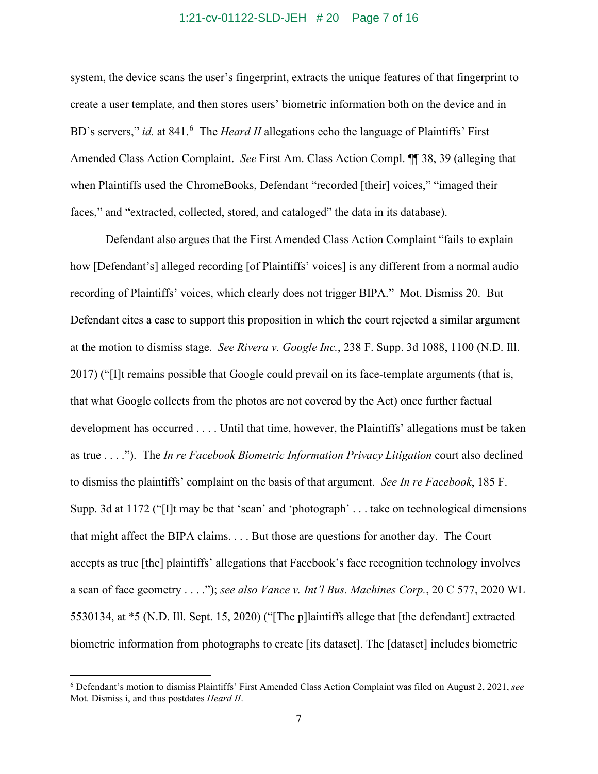### 1:21-cv-01122-SLD-JEH # 20 Page 7 of 16

system, the device scans the user's fingerprint, extracts the unique features of that fingerprint to create a user template, and then stores users' biometric information both on the device and in BD's servers," *id.* at 841.<sup>6</sup> The *Heard II* allegations echo the language of Plaintiffs' First Amended Class Action Complaint. *See* First Am. Class Action Compl. ¶¶ 38, 39 (alleging that when Plaintiffs used the ChromeBooks, Defendant "recorded [their] voices," "imaged their faces," and "extracted, collected, stored, and cataloged" the data in its database).

Defendant also argues that the First Amended Class Action Complaint "fails to explain how [Defendant's] alleged recording [of Plaintiffs' voices] is any different from a normal audio recording of Plaintiffs' voices, which clearly does not trigger BIPA." Mot. Dismiss 20. But Defendant cites a case to support this proposition in which the court rejected a similar argument at the motion to dismiss stage. *See Rivera v. Google Inc.*, 238 F. Supp. 3d 1088, 1100 (N.D. Ill. 2017) ("[I]t remains possible that Google could prevail on its face-template arguments (that is, that what Google collects from the photos are not covered by the Act) once further factual development has occurred . . . . Until that time, however, the Plaintiffs' allegations must be taken as true . . . ."). The *In re Facebook Biometric Information Privacy Litigation* court also declined to dismiss the plaintiffs' complaint on the basis of that argument. *See In re Facebook*, 185 F. Supp. 3d at 1172 ("[I]t may be that 'scan' and 'photograph' . . . take on technological dimensions that might affect the BIPA claims. . . . But those are questions for another day. The Court accepts as true [the] plaintiffs' allegations that Facebook's face recognition technology involves a scan of face geometry . . . ."); *see also Vance v. Int'l Bus. Machines Corp.*, 20 C 577, 2020 WL 5530134, at \*5 (N.D. Ill. Sept. 15, 2020) ("[The p]laintiffs allege that [the defendant] extracted biometric information from photographs to create [its dataset]. The [dataset] includes biometric

<sup>6</sup> Defendant's motion to dismiss Plaintiffs' First Amended Class Action Complaint was filed on August 2, 2021, *see*  Mot. Dismiss i, and thus postdates *Heard II*.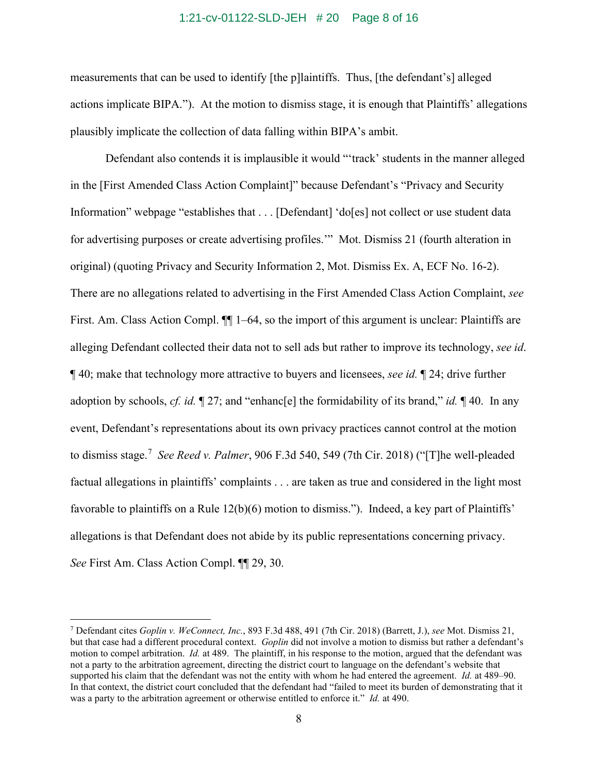#### 1:21-cv-01122-SLD-JEH # 20 Page 8 of 16

measurements that can be used to identify [the p]laintiffs. Thus, [the defendant's] alleged actions implicate BIPA."). At the motion to dismiss stage, it is enough that Plaintiffs' allegations plausibly implicate the collection of data falling within BIPA's ambit.

Defendant also contends it is implausible it would "'track' students in the manner alleged in the [First Amended Class Action Complaint]" because Defendant's "Privacy and Security Information" webpage "establishes that . . . [Defendant] 'do[es] not collect or use student data for advertising purposes or create advertising profiles.'" Mot. Dismiss 21 (fourth alteration in original) (quoting Privacy and Security Information 2, Mot. Dismiss Ex. A, ECF No. 16-2). There are no allegations related to advertising in the First Amended Class Action Complaint, *see*  First. Am. Class Action Compl.  $\P$  1–64, so the import of this argument is unclear: Plaintiffs are alleging Defendant collected their data not to sell ads but rather to improve its technology, *see id*. ¶ 40; make that technology more attractive to buyers and licensees, *see id.* ¶ 24; drive further adoption by schools, *cf. id.* ¶ 27; and "enhanc[e] the formidability of its brand," *id.* ¶ 40. In any event, Defendant's representations about its own privacy practices cannot control at the motion to dismiss stage. 7 *See Reed v. Palmer*, 906 F.3d 540, 549 (7th Cir. 2018) ("[T]he well-pleaded factual allegations in plaintiffs' complaints . . . are taken as true and considered in the light most favorable to plaintiffs on a Rule 12(b)(6) motion to dismiss."). Indeed, a key part of Plaintiffs' allegations is that Defendant does not abide by its public representations concerning privacy. *See* First Am. Class Action Compl. ¶¶ 29, 30.

<sup>7</sup> Defendant cites *Goplin v. WeConnect, Inc.*, 893 F.3d 488, 491 (7th Cir. 2018) (Barrett, J.), *see* Mot. Dismiss 21, but that case had a different procedural context. *Goplin* did not involve a motion to dismiss but rather a defendant's motion to compel arbitration. *Id.* at 489. The plaintiff, in his response to the motion, argued that the defendant was not a party to the arbitration agreement, directing the district court to language on the defendant's website that supported his claim that the defendant was not the entity with whom he had entered the agreement. *Id.* at 489–90. In that context, the district court concluded that the defendant had "failed to meet its burden of demonstrating that it was a party to the arbitration agreement or otherwise entitled to enforce it." *Id.* at 490.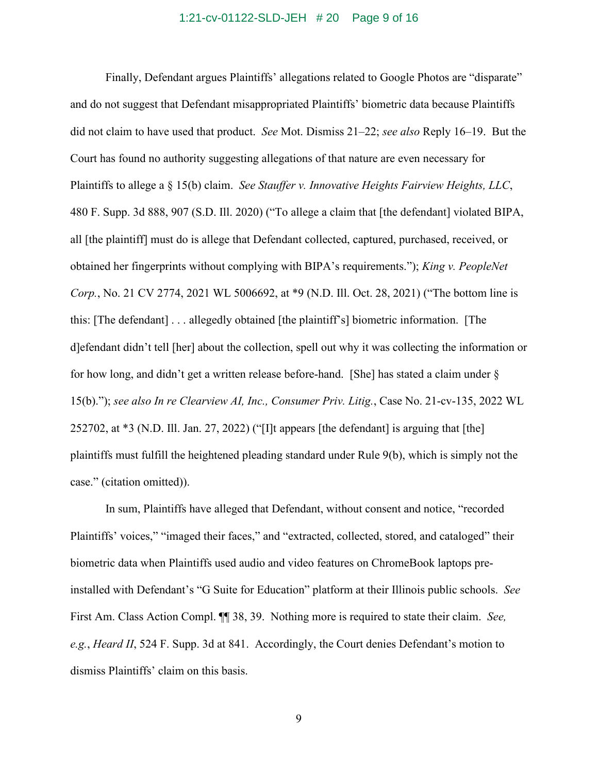# 1:21-cv-01122-SLD-JEH # 20 Page 9 of 16

Finally, Defendant argues Plaintiffs' allegations related to Google Photos are "disparate" and do not suggest that Defendant misappropriated Plaintiffs' biometric data because Plaintiffs did not claim to have used that product. *See* Mot. Dismiss 21–22; *see also* Reply 16–19. But the Court has found no authority suggesting allegations of that nature are even necessary for Plaintiffs to allege a § 15(b) claim. *See Stauffer v. Innovative Heights Fairview Heights, LLC*, 480 F. Supp. 3d 888, 907 (S.D. Ill. 2020) ("To allege a claim that [the defendant] violated BIPA, all [the plaintiff] must do is allege that Defendant collected, captured, purchased, received, or obtained her fingerprints without complying with BIPA's requirements."); *King v. PeopleNet Corp.*, No. 21 CV 2774, 2021 WL 5006692, at \*9 (N.D. Ill. Oct. 28, 2021) ("The bottom line is this: [The defendant] . . . allegedly obtained [the plaintiff's] biometric information. [The d]efendant didn't tell [her] about the collection, spell out why it was collecting the information or for how long, and didn't get a written release before-hand. [She] has stated a claim under § 15(b)."); *see also In re Clearview AI, Inc., Consumer Priv. Litig.*, Case No. 21-cv-135, 2022 WL 252702, at \*3 (N.D. Ill. Jan. 27, 2022) ("[I]t appears [the defendant] is arguing that [the] plaintiffs must fulfill the heightened pleading standard under Rule 9(b), which is simply not the case." (citation omitted)).

In sum, Plaintiffs have alleged that Defendant, without consent and notice, "recorded Plaintiffs' voices," "imaged their faces," and "extracted, collected, stored, and cataloged" their biometric data when Plaintiffs used audio and video features on ChromeBook laptops preinstalled with Defendant's "G Suite for Education" platform at their Illinois public schools. *See*  First Am. Class Action Compl. ¶¶ 38, 39. Nothing more is required to state their claim. *See, e.g.*, *Heard II*, 524 F. Supp. 3d at 841. Accordingly, the Court denies Defendant's motion to dismiss Plaintiffs' claim on this basis.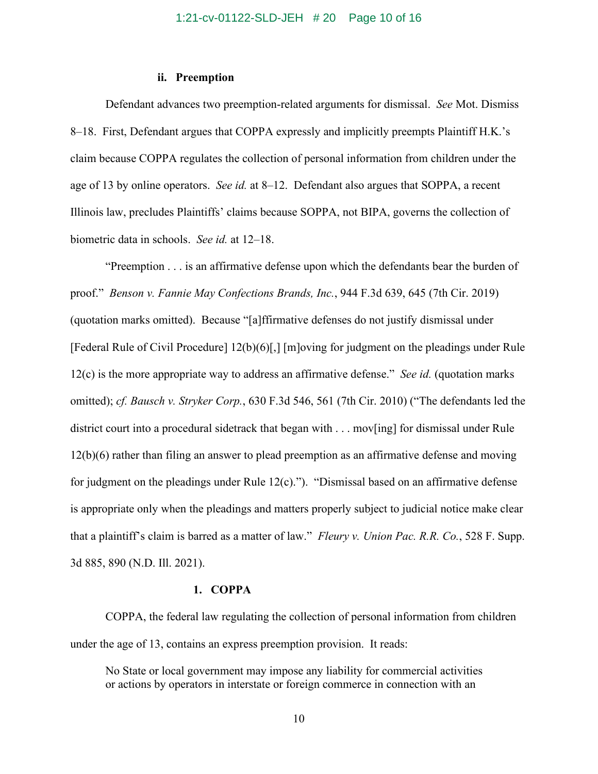### **ii. Preemption**

Defendant advances two preemption-related arguments for dismissal. *See* Mot. Dismiss 8–18. First, Defendant argues that COPPA expressly and implicitly preempts Plaintiff H.K.'s claim because COPPA regulates the collection of personal information from children under the age of 13 by online operators. *See id.* at 8–12. Defendant also argues that SOPPA, a recent Illinois law, precludes Plaintiffs' claims because SOPPA, not BIPA, governs the collection of biometric data in schools. *See id.* at 12–18.

"Preemption . . . is an affirmative defense upon which the defendants bear the burden of proof." *Benson v. Fannie May Confections Brands, Inc.*, 944 F.3d 639, 645 (7th Cir. 2019) (quotation marks omitted). Because "[a]ffirmative defenses do not justify dismissal under [Federal Rule of Civil Procedure] 12(b)(6)[,] [m]oving for judgment on the pleadings under Rule 12(c) is the more appropriate way to address an affirmative defense." *See id.* (quotation marks omitted); *cf. Bausch v. Stryker Corp.*, 630 F.3d 546, 561 (7th Cir. 2010) ("The defendants led the district court into a procedural sidetrack that began with . . . mov[ing] for dismissal under Rule 12(b)(6) rather than filing an answer to plead preemption as an affirmative defense and moving for judgment on the pleadings under Rule  $12(c)$ ."). "Dismissal based on an affirmative defense is appropriate only when the pleadings and matters properly subject to judicial notice make clear that a plaintiff's claim is barred as a matter of law." *Fleury v. Union Pac. R.R. Co.*, 528 F. Supp. 3d 885, 890 (N.D. Ill. 2021).

## **1. COPPA**

COPPA, the federal law regulating the collection of personal information from children under the age of 13, contains an express preemption provision. It reads:

No State or local government may impose any liability for commercial activities or actions by operators in interstate or foreign commerce in connection with an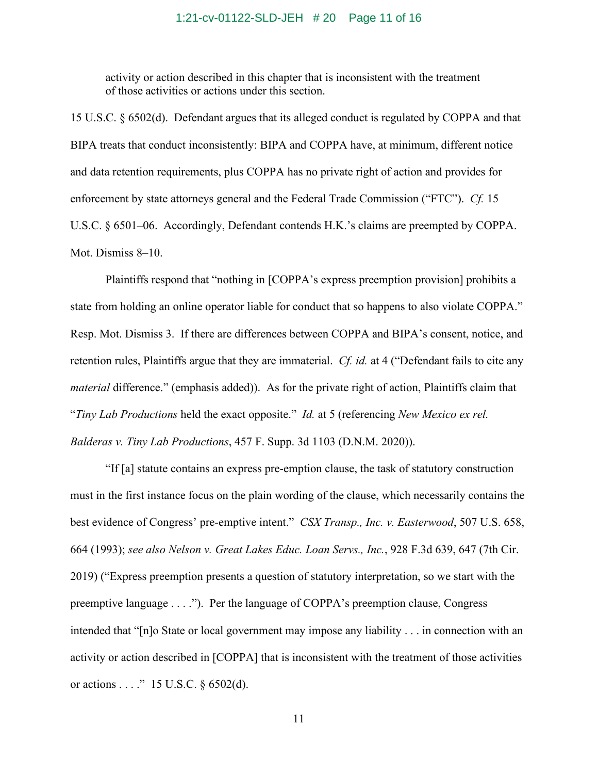### 1:21-cv-01122-SLD-JEH # 20 Page 11 of 16

activity or action described in this chapter that is inconsistent with the treatment of those activities or actions under this section.

15 U.S.C. § 6502(d). Defendant argues that its alleged conduct is regulated by COPPA and that BIPA treats that conduct inconsistently: BIPA and COPPA have, at minimum, different notice and data retention requirements, plus COPPA has no private right of action and provides for enforcement by state attorneys general and the Federal Trade Commission ("FTC"). *Cf.* 15 U.S.C. § 6501–06. Accordingly, Defendant contends H.K.'s claims are preempted by COPPA. Mot. Dismiss 8–10.

Plaintiffs respond that "nothing in [COPPA's express preemption provision] prohibits a state from holding an online operator liable for conduct that so happens to also violate COPPA." Resp. Mot. Dismiss 3. If there are differences between COPPA and BIPA's consent, notice, and retention rules, Plaintiffs argue that they are immaterial. *Cf. id.* at 4 ("Defendant fails to cite any *material* difference." (emphasis added)). As for the private right of action, Plaintiffs claim that "*Tiny Lab Productions* held the exact opposite." *Id.* at 5 (referencing *New Mexico ex rel. Balderas v. Tiny Lab Productions*, 457 F. Supp. 3d 1103 (D.N.M. 2020)).

"If [a] statute contains an express pre-emption clause, the task of statutory construction must in the first instance focus on the plain wording of the clause, which necessarily contains the best evidence of Congress' pre-emptive intent." *CSX Transp., Inc. v. Easterwood*, 507 U.S. 658, 664 (1993); *see also Nelson v. Great Lakes Educ. Loan Servs., Inc.*, 928 F.3d 639, 647 (7th Cir. 2019) ("Express preemption presents a question of statutory interpretation, so we start with the preemptive language . . . ."). Per the language of COPPA's preemption clause, Congress intended that "[n]o State or local government may impose any liability . . . in connection with an activity or action described in [COPPA] that is inconsistent with the treatment of those activities or actions . . . ." 15 U.S.C. § 6502(d).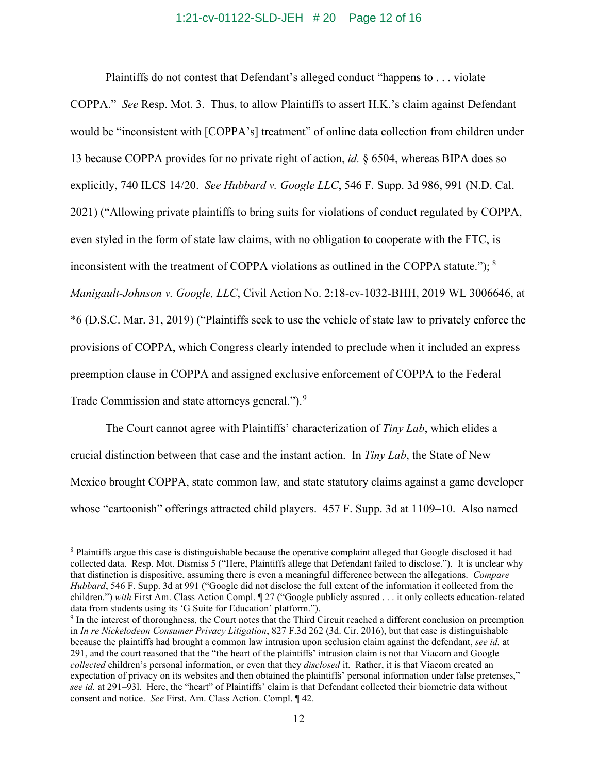### 1:21-cv-01122-SLD-JEH # 20 Page 12 of 16

Plaintiffs do not contest that Defendant's alleged conduct "happens to . . . violate

COPPA." *See* Resp. Mot. 3. Thus, to allow Plaintiffs to assert H.K.'s claim against Defendant would be "inconsistent with [COPPA's] treatment" of online data collection from children under 13 because COPPA provides for no private right of action, *id.* § 6504, whereas BIPA does so explicitly, 740 ILCS 14/20. *See Hubbard v. Google LLC*, 546 F. Supp. 3d 986, 991 (N.D. Cal. 2021) ("Allowing private plaintiffs to bring suits for violations of conduct regulated by COPPA, even styled in the form of state law claims, with no obligation to cooperate with the FTC, is inconsistent with the treatment of COPPA violations as outlined in the COPPA statute."); <sup>8</sup> *Manigault-Johnson v. Google, LLC*, Civil Action No. 2:18-cv-1032-BHH, 2019 WL 3006646, at \*6 (D.S.C. Mar. 31, 2019) ("Plaintiffs seek to use the vehicle of state law to privately enforce the provisions of COPPA, which Congress clearly intended to preclude when it included an express preemption clause in COPPA and assigned exclusive enforcement of COPPA to the Federal Trade Commission and state attorneys general.").<sup>9</sup>

The Court cannot agree with Plaintiffs' characterization of *Tiny Lab*, which elides a crucial distinction between that case and the instant action. In *Tiny Lab*, the State of New Mexico brought COPPA, state common law, and state statutory claims against a game developer whose "cartoonish" offerings attracted child players. 457 F. Supp. 3d at 1109–10. Also named

<sup>8</sup> Plaintiffs argue this case is distinguishable because the operative complaint alleged that Google disclosed it had collected data. Resp. Mot. Dismiss 5 ("Here, Plaintiffs allege that Defendant failed to disclose."). It is unclear why that distinction is dispositive, assuming there is even a meaningful difference between the allegations. *Compare Hubbard*, 546 F. Supp. 3d at 991 ("Google did not disclose the full extent of the information it collected from the children.") *with* First Am. Class Action Compl. ¶ 27 ("Google publicly assured . . . it only collects education-related data from students using its 'G Suite for Education' platform.").

<sup>9</sup> In the interest of thoroughness, the Court notes that the Third Circuit reached a different conclusion on preemption in *In re Nickelodeon Consumer Privacy Litigation*, 827 F.3d 262 (3d. Cir. 2016), but that case is distinguishable because the plaintiffs had brought a common law intrusion upon seclusion claim against the defendant, *see id.* at 291, and the court reasoned that the "the heart of the plaintiffs' intrusion claim is not that Viacom and Google *collected* children's personal information, or even that they *disclosed* it. Rather, it is that Viacom created an expectation of privacy on its websites and then obtained the plaintiffs' personal information under false pretenses," *see id.* at 291–93l. Here, the "heart" of Plaintiffs' claim is that Defendant collected their biometric data without consent and notice. *See* First. Am. Class Action. Compl. ¶ 42.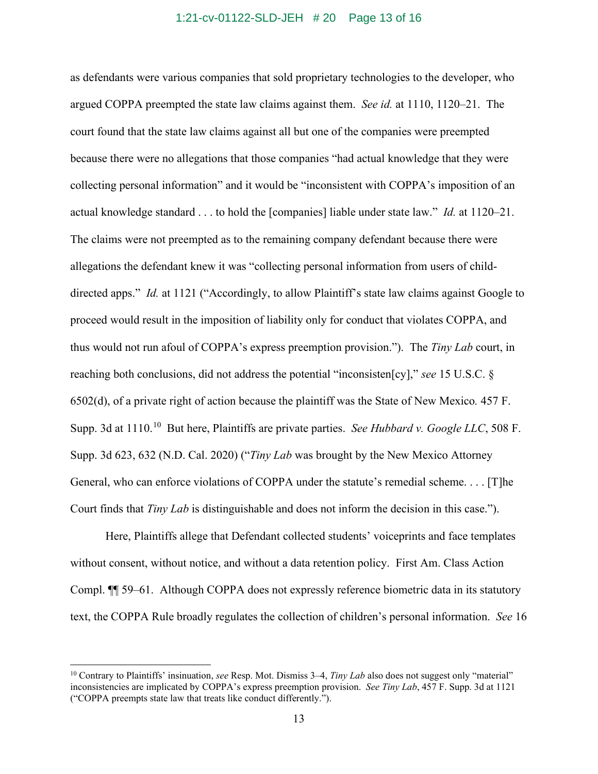### 1:21-cv-01122-SLD-JEH # 20 Page 13 of 16

as defendants were various companies that sold proprietary technologies to the developer, who argued COPPA preempted the state law claims against them. *See id.* at 1110, 1120–21. The court found that the state law claims against all but one of the companies were preempted because there were no allegations that those companies "had actual knowledge that they were collecting personal information" and it would be "inconsistent with COPPA's imposition of an actual knowledge standard . . . to hold the [companies] liable under state law." *Id.* at 1120–21. The claims were not preempted as to the remaining company defendant because there were allegations the defendant knew it was "collecting personal information from users of childdirected apps." *Id.* at 1121 ("Accordingly, to allow Plaintiff's state law claims against Google to proceed would result in the imposition of liability only for conduct that violates COPPA, and thus would not run afoul of COPPA's express preemption provision."). The *Tiny Lab* court, in reaching both conclusions, did not address the potential "inconsisten[cy]," *see* 15 U.S.C. § 6502(d), of a private right of action because the plaintiff was the State of New Mexico*.* 457 F. Supp. 3d at 1110.<sup>10</sup> But here, Plaintiffs are private parties. *See Hubbard v. Google LLC*, 508 F. Supp. 3d 623, 632 (N.D. Cal. 2020) ("*Tiny Lab* was brought by the New Mexico Attorney General, who can enforce violations of COPPA under the statute's remedial scheme. . . . [T]he Court finds that *Tiny Lab* is distinguishable and does not inform the decision in this case.").

Here, Plaintiffs allege that Defendant collected students' voiceprints and face templates without consent, without notice, and without a data retention policy. First Am. Class Action Compl. ¶¶ 59–61. Although COPPA does not expressly reference biometric data in its statutory text, the COPPA Rule broadly regulates the collection of children's personal information. *See* 16

<sup>10</sup> Contrary to Plaintiffs' insinuation, *see* Resp. Mot. Dismiss 3–4, *Tiny Lab* also does not suggest only "material" inconsistencies are implicated by COPPA's express preemption provision. *See Tiny Lab*, 457 F. Supp. 3d at 1121 ("COPPA preempts state law that treats like conduct differently.").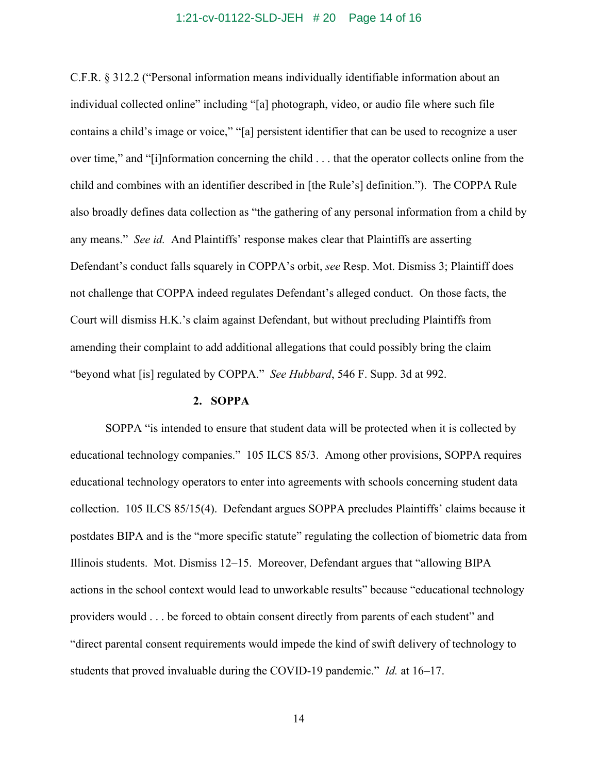### 1:21-cv-01122-SLD-JEH # 20 Page 14 of 16

C.F.R. § 312.2 ("Personal information means individually identifiable information about an individual collected online" including "[a] photograph, video, or audio file where such file contains a child's image or voice," "[a] persistent identifier that can be used to recognize a user over time," and "[i]nformation concerning the child . . . that the operator collects online from the child and combines with an identifier described in [the Rule's] definition."). The COPPA Rule also broadly defines data collection as "the gathering of any personal information from a child by any means." *See id.* And Plaintiffs' response makes clear that Plaintiffs are asserting Defendant's conduct falls squarely in COPPA's orbit, *see* Resp. Mot. Dismiss 3; Plaintiff does not challenge that COPPA indeed regulates Defendant's alleged conduct. On those facts, the Court will dismiss H.K.'s claim against Defendant, but without precluding Plaintiffs from amending their complaint to add additional allegations that could possibly bring the claim "beyond what [is] regulated by COPPA." *See Hubbard*, 546 F. Supp. 3d at 992.

#### **2. SOPPA**

SOPPA "is intended to ensure that student data will be protected when it is collected by educational technology companies." 105 ILCS 85/3. Among other provisions, SOPPA requires educational technology operators to enter into agreements with schools concerning student data collection. 105 ILCS 85/15(4). Defendant argues SOPPA precludes Plaintiffs' claims because it postdates BIPA and is the "more specific statute" regulating the collection of biometric data from Illinois students. Mot. Dismiss 12–15. Moreover, Defendant argues that "allowing BIPA actions in the school context would lead to unworkable results" because "educational technology providers would . . . be forced to obtain consent directly from parents of each student" and "direct parental consent requirements would impede the kind of swift delivery of technology to students that proved invaluable during the COVID-19 pandemic." *Id.* at 16–17.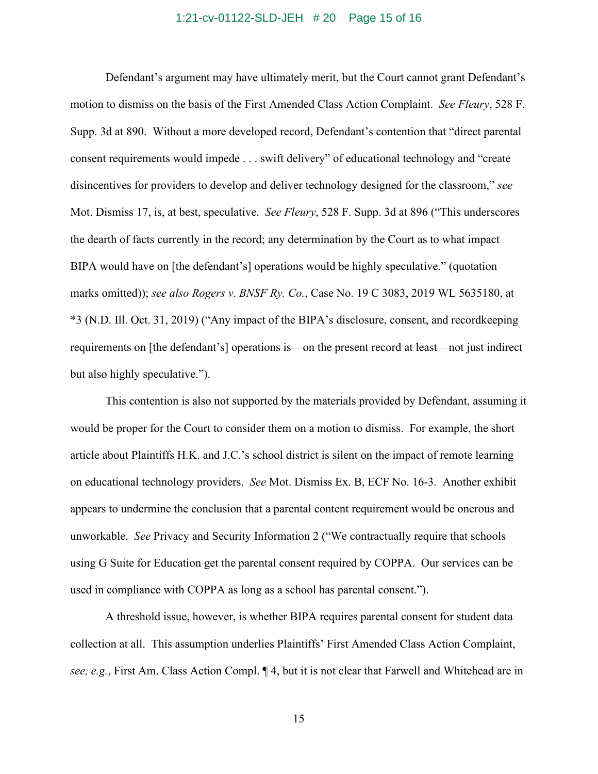### 1:21-cv-01122-SLD-JEH # 20 Page 15 of 16

Defendant's argument may have ultimately merit, but the Court cannot grant Defendant's motion to dismiss on the basis of the First Amended Class Action Complaint. *See Fleury*, 528 F. Supp. 3d at 890. Without a more developed record, Defendant's contention that "direct parental consent requirements would impede . . . swift delivery" of educational technology and "create disincentives for providers to develop and deliver technology designed for the classroom," *see*  Mot. Dismiss 17, is, at best, speculative. *See Fleury*, 528 F. Supp. 3d at 896 ("This underscores the dearth of facts currently in the record; any determination by the Court as to what impact BIPA would have on [the defendant's] operations would be highly speculative." (quotation marks omitted)); *see also Rogers v. BNSF Ry. Co.*, Case No. 19 C 3083, 2019 WL 5635180, at \*3 (N.D. Ill. Oct. 31, 2019) ("Any impact of the BIPA's disclosure, consent, and recordkeeping requirements on [the defendant's] operations is—on the present record at least—not just indirect but also highly speculative.").

This contention is also not supported by the materials provided by Defendant, assuming it would be proper for the Court to consider them on a motion to dismiss. For example, the short article about Plaintiffs H.K. and J.C.'s school district is silent on the impact of remote learning on educational technology providers. *See* Mot. Dismiss Ex. B, ECF No. 16-3. Another exhibit appears to undermine the conclusion that a parental content requirement would be onerous and unworkable. *See* Privacy and Security Information 2 ("We contractually require that schools using G Suite for Education get the parental consent required by COPPA. Our services can be used in compliance with COPPA as long as a school has parental consent.").

A threshold issue, however, is whether BIPA requires parental consent for student data collection at all. This assumption underlies Plaintiffs' First Amended Class Action Complaint, *see, e.g.*, First Am. Class Action Compl. ¶ 4, but it is not clear that Farwell and Whitehead are in